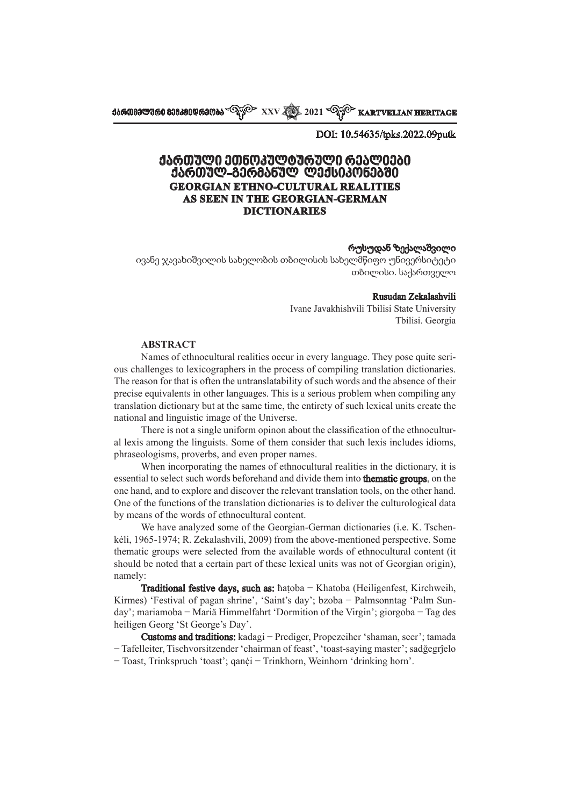**ქართველური მემკვიდრეობა XXV 2021 KARTVELIAN HERITAGE**

DOI: 10.54635/tpks.2022.09putk

# **ქართული ეთნოკულტურული რეალიები ქართულ-გერმანულ ლექსიკონებში GEORGIAN ETHNO-CULTURAL REALITIES AS SEEN IN THE GEORGIAN-GERMAN DICTIONARIES**

#### რუსუდან ზექალაშვილი

ივანე ჯავახიშვილის სახელობის თბილისის სახელმწიფო უნივერსიტეტი თბილისი. საქართველო

#### Rusudan Zekalashvili

Ivane Javakhishvili Tbilisi State University Tbilisi. Georgia

### **ABSTRACT**

Names of ethnocultural realities occur in every language. They pose quite serious challenges to lexicographers in the process of compiling translation dictionaries. The reason for that is often the untranslatability of such words and the absence of their precise equivalents in other languages. This is a serious problem when compiling any translation dictionary but at the same time, the entirety of such lexical units create the national and linguistic image of the Universe.

There is not a single uniform opinon about the classification of the ethnocultural lexis among the linguists. Some of them consider that such lexis includes idioms, phraseologisms, proverbs, and even proper names.

When incorporating the names of ethnocultural realities in the dictionary, it is essential to select such words beforehand and divide them into thematic groups, on the one hand, and to explore and discover the relevant translation tools, on the other hand. One of the functions of the translation dictionaries is to deliver the culturological data by means of the words of ethnocultural content.

We have analyzed some of the Georgian-German dictionaries (i.e. K. Tschenkéli, 1965-1974; R. Zekalashvili, 2009) from the above-mentioned perspective. Some thematic groups were selected from the available words of ethnocultural content (it should be noted that a certain part of these lexical units was not of Georgian origin), namely:

Traditional festive days, such as: ħaṭoba − Khatoba (Heiligenfest, Kirchweih, Kirmes) 'Festival of pagan shrine', 'Saint's day'; bzoba − Palmsonntag 'Palm Sunday'; mariamoba − Mariä Himmelfahrt 'Dormition of the Virgin'; giorgoba − Tag des heiligen Georg 'St George's Day'.

Customs and traditions: kadagi − Prediger, Propezeiher 'shaman, seer'; tamada − Tafelleiter, Tischvorsitzender 'chairman of feast', 'toast-saying master'; sadğegrĵelo − Toast, Trinkspruch 'toast'; qanċi − Trinkhorn, Weinhorn 'drinking horn'. ̣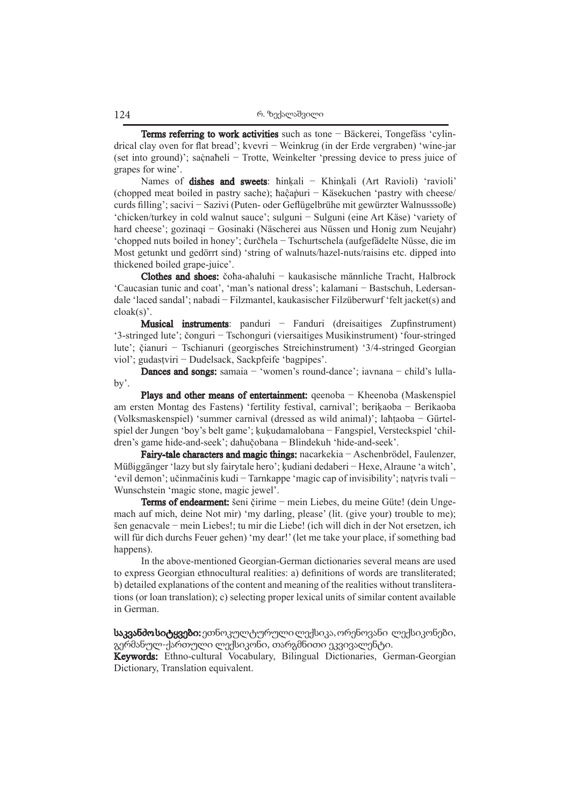Terms referring to work activities such as tone − Bäckerei, Tongefäss 'cylindrical clay oven for flat bread'; kvevri − Weinkrug (in der Erde vergraben) 'wine-jar (set into ground)'; saċnaħeli − Trotte, Weinkelter 'pressing device to press juice of ̣ grapes for wine'.

Names of dishes and sweets: ħinķali - Khinķali (Art Ravioli) 'ravioli' (chopped meat boiled in pastry sache); ħaĉaṗuri − Käsekuchen 'pastry with cheese/ ̣ curds filling'; sacivi − Sazivi (Puten- oder Geflügelbrühe mit gewürzter Walnusssoße) 'chicken/turkey in cold walnut sauce'; sulguni − Sulguni (eine Art Käse) 'variety of hard cheese'; gozinaqi − Gosinaki (Näscherei aus Nüssen und Honig zum Neujahr) 'chopped nuts boiled in honey'; čurčħela − Tschurtschela (aufgefädelte Nüsse, die im Most getunkt und gedörrt sind) 'string of walnuts/hazel-nuts/raisins etc. dipped into thickened boiled grape-juice'.

Clothes and shoes: čoħa-aħaluħi − kaukasische männliche Tracht, Halbrock 'Caucasian tunic and coat', 'man's national dress'; kalamani − Bastschuh, Ledersandale 'laced sandal'; nabadi − Filzmantel, kaukasischer Filzüberwurf 'felt jacket(s) and cloak(s)'.

Musical instruments: panduri − Fanduri (dreisaitiges Zupfinstrument) '3-stringed lute'; čonguri − Tschonguri (viersaitiges Musikinstrument) 'four-stringed lute'; čianuri − Tschianuri (georgisches Streichinstrument) '3/4-stringed Georgian ̣ viol'; gudasṭviri − Dudelsack, Sackpfeife 'bagpipes'.

Dances and songs: samaia − 'women's round-dance'; iavnana − child's lullaby'.

Plays and other means of entertainment: qeenoba – Kheenoba (Maskenspiel am ersten Montag des Fastens) 'fertility festival, carnival'; beriḳaoba − Berikaoba (Volksmaskenspiel) 'summer carnival (dressed as wild animal)'; laħṭaoba − Gürtelspiel der Jungen 'boy's belt game'; ḳuḳudamalobana − Fangspiel, Versteckspiel 'children's game hide-and-seek'; daħučobana − Blindekuh 'hide-and-seek'. ̣

Fairy-tale characters and magic things: nacarkekia − Aschenbrödel, Faulenzer, Müßiggänger 'lazy but sly fairytale hero'; ḳudiani dedaberi − Hexe, Alraune 'a witch', 'evil demon'; učinmačinis kudi − Tarnkappe 'magic cap of invisibility'; naṭvris tvali − Wunschstein 'magic stone, magic jewel'.

Terms of endearment: šeni čirime – mein Liebes, du meine Güte! (dein Ungemach auf mich, deine Not mir) 'my darling, please' (lit. (give your) trouble to me); šen genacvale − mein Liebes!; tu mir die Liebe! (ich will dich in der Not ersetzen, ich will für dich durchs Feuer gehen) 'my dear!' (let me take your place, if something bad happens).

In the above-mentioned Georgian-German dictionaries several means are used to express Georgian ethnocultural realities: a) definitions of words are transliterated; b) detailed explanations of the content and meaning of the realities without transliterations (or loan translation); c) selecting proper lexical units of similar content available in German.

საკვანძო სიტყვები: ეთნოკულტურული ლექსიკა, ორენოვანი ლექსიკონები, გერმანულ-ქართული ლექსიკონი, თარგმნითი ეკვივალენტი.

Keywords: Ethno-cultural Vocabulary, Bilingual Dictionaries, German-Georgian Dictionary, Translation equivalent.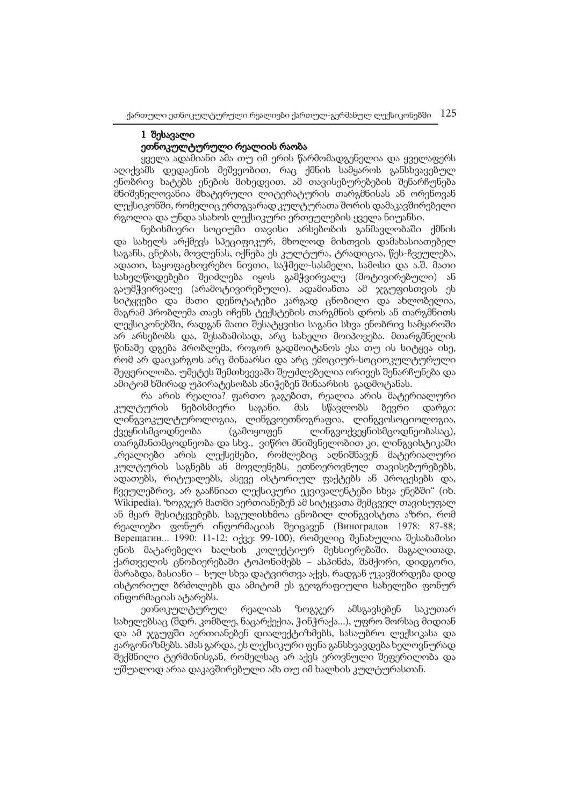# 1 შესავალი ეთნოკულტურული რეალიის რაობა

ყველა ადამიანი ამა თუ იმ ერის წარმომადგენელია და ყველაფერს აღიქვამს დედაენის მეშვეობით, რაც ქმნის სამყაროს განსხვავებულ ენობრივ ხატებს ენების მიხედვით. ამ თავისებურებების შენარჩუნება მნიშვნელოვანია მხატვრული ლიტერატურის თარგმნისას ან ორენოვან ლექსიკონში, რომელიც ერთგვარად კულტურათა შორის დამაკავშირებელი რგოლია და უნდა ასახოს ლექსიკური ერთეულების ყველა ნიუანსი.

ნებისმიერი სოციუმი თავისი არსებობის განმავლობაში ქმნის და სახელს არქმევს სპეციფიკურ, მხოლოდ მისთვის დამახასიათებელ საგანს, ცნებას, მოვლენას, იქნება ეს კულტურა, ტრადიცია, წეს-ჩვეულება, ადათი, საყოფაცხოვრებო ნივთი, საჭმელ-სასმელი, სამოსი და ა.შ. მათი სახელწოდებები შეიძლება იყოს გამჭვირვალე (მოტივირებული) ან გაუმჭვირვალე (არამოტივირებული). ადამიანთა ამ ჯგუფისთვის ეს სიტყვები და მათი დენოტატები კარგად ცნობილი და ახლობელია, მაგრამ პრობლემა თავს იჩენს ტექსტების თარგმნის დროს ან თარგმნითს ლექსიკონებში, რადგან მათი შესატყვისი საგანი სხვა ენობრივ სამყაროში არ არსებობს და, შესაბამისად, არც სახელი მოიპოვება. მთარგმნელის წინაშე დგება პრობლემა, როგორ გადმოიტანოს ესა თუ ის სიტყვა ისე, რომ არ დაიკარგოს არც შინაარსი და არც ემოციურ-სოციოკულტურული შეფერილობა. უმეტეს შემთხვევაში შეუძლებელია ორივეს შენარჩუნება და ამიტომ ხშირად უპირატესობას ანიჭებენ შინაარსის გადმოტანას.

რა არის რეალია? ფართო გაგებით, რეალია არის მატერიალური კულტურის ნებისმიერი საგანი. მას სწავლობს ბევრი დარგი: ლინგვოკულტუროლოგია, ლინგვოეთნოგრაფია, ლინგვოსოციოლოგია, ქვეყნისმცოდნეობა (გამოყოფენ ლინგვოქვეყნისმცოდნეობასაც), თარგმანთმცოდნეობა და სხვ., ვიწრო მნიშვნელობით კი, ლინგვისტიკაში "რეალიები არის ლექსემები, რომლებიც აღნიშნავენ მატერიალური კულტურის საგნებს ან მოვლენებს, ეთნოეროვნულ თავისებურებებს, ადათებს, რიტუალებს, ასევე ისტორიულ ფაქტებს ან პროცესებს და, ჩვეულებრივ, არ გააჩნიათ ლექსიკური ეკვივალენტები სხვა ენებში" (იხ. Wikipedia). ზოგჯერ მათში აერთიანებენ ამ სიტყვათა შემცველ თავისუფალ ან მყარ შესიტყვებებს. საგულისხმოა ცნობილ ლინგვისტთა აზრი, რომ რეალიები ფონურ ინფორმაციას შეიცავენ (Виноградов 1978: 87-88; Верещагин... 1990: 11-12; იქვე: 99-100), რომელიც შენახულია შესაბამისი ენის მატარებელი ხალხის კოლექტიურ მეხსიერებაში. მაგალითად, ქართველის ცნობიერებაში ტოპონიმებს − ასპინძა, შამქორი, დიდგორი, მარაბდა, ბასიანი − სულ სხვა დატვირთვა აქვს, რადგან უკავშირდება დიდ ისტორიულ ბრძოლებს და ამიტომ ეს გეოგრაფიული სახელები ფონურ ინფორმაციას ატარებს.

ეთნოკულტურულ რეალიას ზოგჯერ ამსგავსებენ საკუთარ სახელებსაც (შდრ. კომბლე, ნაცარქექია, ჭინჭრაქა...), უფრო შორსაც მიდიან და ამ ჯგუფში აერთიანებენ დიალექტიზმებს, სასაუბრო ლექსიკასა და ჟარგონიზმებს. ამას გარდა, ეს ლექსიკური ფენა განსხვავდება ხელოვნურად შექმნილი ტერმინისგან, რომელსაც არ აქვს ეროვნული შეფერილობა და უშუალოდ არაა დაკავშირებული ამა თუ იმ ხალხის კულტურასთან.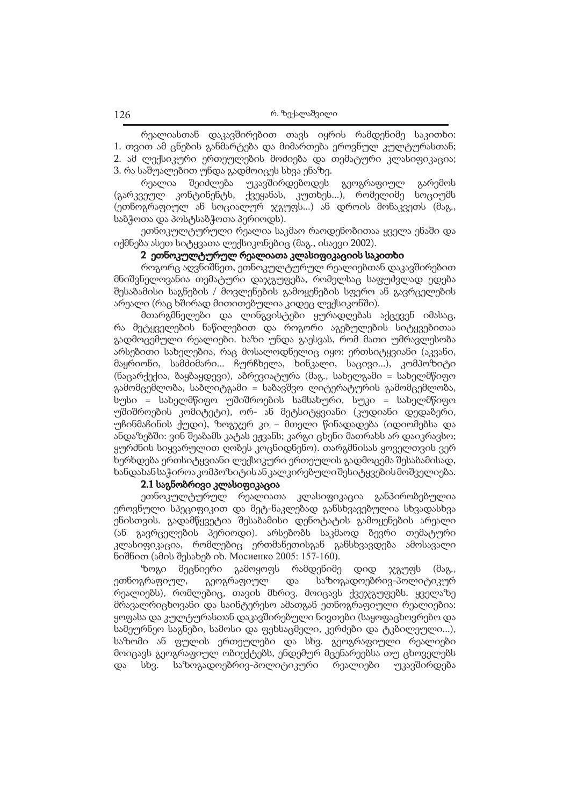რეალიასთან დაკავშირებით თავს იყრის რამდენიმე საკითხი: 1. თვით ამ ცნების განმარტება და მიმართება ეროვნულ კულტურასთან; 2. ამ ლექსიკური ერთეულების მოძიება და თემატური კლასიფიკაცია; 3. რა საშუალებით უნდა გადმოიცეს სხვა ენაზე.

რეალია შეიძლება უკავშირდებოდეს გეოგრაფიულ გარემოს (გარკვეულ კონტინენტს, ქვეყანას, კუთხეს...), რომელიმე სოციუმს (ეთნოგრაფიულ ან სოციალურ ჯგუფს...) ან დროის მონაკვეთს (მაგ., საბჭოთა და პოსტსაბჭოთა პერიოდს).

ეთნოკულტურული რეალია საკმაო რაოდენობითაა ყველა ენაში და იქმნება ასეთ სიტყვათა ლექსიკონებიც (მაგ., ისაევი 2002).

### 2 ეთნოკულტურულ რეალიათა კლასიფიკაციის საკითხი

როგორც აღვნიშნეთ, ეთნოკულტურულ რეალიებთან დაკავშირებით მნიშვნელოვანია თემატური დაჯგუფება, რომელსაც საფუძვლად ედება შესაბამისი საგნების / მოვლენების გამოყენების სფერო ან გავრცელების არეალი (რაც ხშირად მითითებულია კიდეც ლექსიკონში).

მთარგმნელები და ლინგვისტები ყურადღებას აქცევენ იმასაც, რა მეტყველების ნაწილებით და როგორი აგებულების სიტყვებითაა გადმოცემული რეალიები. ხაზი უნდა გაესვას, რომ მათი უმრავლესობა არსებითი სახელებია, რაც მოსალოდნელიც იყო: ერთსიტყვიანი (აკვანი, მაყრიონი, სამძიმარი... ჩურჩხელა, ხინკალი, საცივი...), კომპოზიტი (ნაცარქექია, ბაყბაყდევი), აბრევიატურა (მაგ., სახელგამი = სახელმწიფო გამომცემლობა, საბლიტგამი = საბავშვო ლიტერატურის გამომცემლობა, სუსი = სახელმწიფო უშიშროების სამსახური, სუკი = სახელმწიფო უშიშროების კომიტეტი), ორ- ან მეტსიტყვიანი (კუდიანი დედაბერი, უჩინმაჩინის ქუდი), ზოგჯერ კი − მთელი წინადადება (იდიომებსა და ანდაზებში: ვინ შეაბამს კატას ეჟვანს; კარგი ცხენი მათრახს არ დაიკრავსო; ყურძნის სიყვარულით ღობეს კოცნიდნენო). თარგმნისას ყოველთვის ვერ ხერხდება ერთსიტყვიანი ლექსიკური ერთეულის გადმოცემა შესაბამისად, ხანდახან საჭიროა კომპოზიტის ან კალკირებული შესიტყვების მოშველიება.

### 2.1 საგნობრივი კლასიფიკაცია

ეთნოკულტურულ რეალიათა კლასიფიკაცია განპირობებულია ეროვნული სპეციფიკით და მეტ-ნაკლებად განსხვავებულია სხვადასხვა ენისთვის. გადამწყვეტია შესაბამისი დენოტატის გამოყენების არეალი (ან გავრცელების პერიოდი). არსებობს საკმაოდ ბევრი თემატური კლასიფიკაცია, რომლებიც ერთმანეთისგან განსხვავდება ამოსავალი ნიშნით (ამის შესახებ იხ. Мосиенко 2005: 157-160).

ზოგი მეცნიერი გამოყოფს რამდენიმე დიდ ჯგუფს (მაგ., ეთნოგრაფიულ, გეოგრაფიულ და საზოგადოებრივ-პოლიტიკურ რეალიებს), რომლებიც, თავის მხრივ, მოიცავს ქვეჯგუფებს. ყველაზე მრავალრიცხოვანი და საინტერესო ამათგან ეთნოგრაფიული რეალიებია: ყოფასა და კულტურასთან დაკავშირებული ნივთები (საყოფაცხოვრებო და სამეურნეო საგნები, სამოსი და ფეხსაცმელი, კერძები და ტკბილეული...), საზომი ან ფულის ერთეულები და სხვ. გეოგრაფიული რეალიები მოიცავს გეოგრაფიულ ობიექტებს, ენდემურ მცენარეებსა თუ ცხოველებს და სხვ. საზოგადოებრივ-პოლიტიკური რეალიები უკავშირდება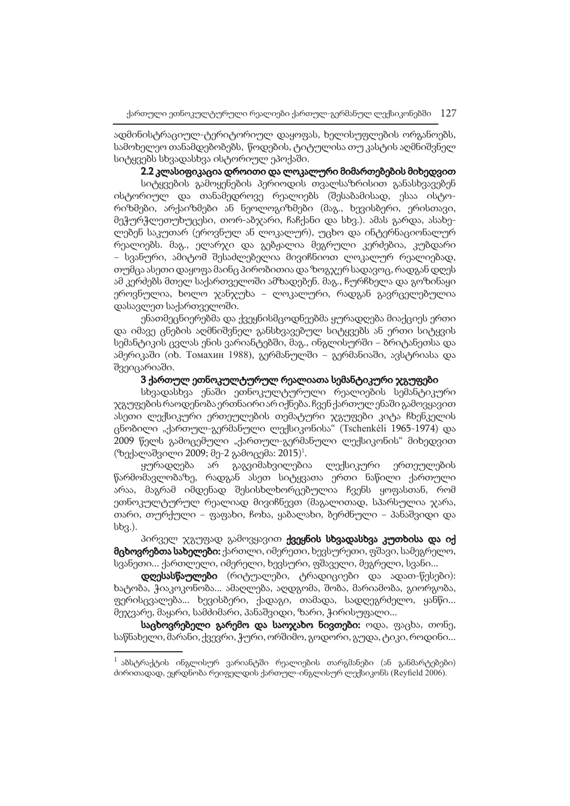ადმინისტრაციულ-ტერიტორიულ დაყოფას, ხელისუფლების ორგანოებს, სამოხელეო თანამდებობებს, წოდების, ტიტულისა თუ კასტის აღმნიშვნელ სიტყვებს სხვადასხვა ისტორიულ ეპოქაში.

## 2.2 კლასიფიკაცია დროითი და ლოკალური მიმართებების მიხედვით

სიტყვების გამოყენების პერიოდის თვალსაზრისით განასხვავებენ ისტორიულ და თანამედროვე რეალიებს (შესაბამისად, ესაა ისტორიზმები, არქაიზმები ან ნეოლოგიზმები (მაგ., ხევისბერი, ერისთავი, მეჭურჭლეთუხუცესი, თორ-აბჯარი, ჩაჩქანი და სხვ.). ამას გარდა, ასახელებენ საკუთარ (ეროვნულ ან ლოკალურ), უცხო და ინტერნაციონალურ რეალიებს. მაგ., ელარჯი და გებჟალია მეგრული კერძებია, კუბდარი − სვანური, ამიტომ შესაძლებელია მივიჩნიოთ ლოკალურ რეალიებად, თუმცა ასეთი დაყოფა მაინც პირობითია და ზოგჯერ სადავოც, რადგან დღეს ამ კერძებს მთელ საქართველოში ამზადებენ. მაგ., ჩურჩხელა და გოზინაყი ეროვნულია, ხოლო ჯანჯუხა − ლოკალური, რადგან გავრცელებულია დასავლეთ საქართველოში.

ენათმეცნიერებმა და ქვეყნისმცოდნეებმა ყურადღება მიაქციეს ერთი და იმავე ცნების აღმნიშვნელ განსხვავებულ სიტყვებს ან ერთი სიტყვის სემანტიკის ცვლას ენის ვარიანტებში, მაგ., ინგლისურში − ბრიტანეთსა და ამერიკაში (იხ. Томахин 1988), გერმანულში − გერმანიაში, ავსტრიასა და შვეიცარიაში.

## 3 ქართულ ეთნოკულტურულ რეალიათა სემანტიკური ჯგუფები

სხვადასხვა ენაში ეთნოკულტურული რეალიების სემანტიკური ჯგუფების რაოდენობა ერთნაირი არ იქნება. ჩვენ ქართულ ენაში გამოვყავით ასეთი ლექსიკური ერთეულების თემატური ჯგუფები კიტა ჩხენკელის ცნობილი "ქართულ-გერმანული ლექსიკონისა" (Tschenkéli 1965-1974) და 2009 წელს გამოცემული "ქართულ-გერმანული ლექსიკონის" მიხედვით (ზექალაშვილი 2009; მე-2 გამოცემა: 2015)<sup>1</sup>.

ყურადღება არ გაგვიმახვილებია ლექსიკური ერთეულების წარმომავლობაზე, რადგან ასეთ სიტყვათა ერთი ნაწილი ქართული არაა, მაგრამ იმდენად შესისხლხორცებულია ჩვენს ყოფასთან, რომ ეთნოკულტურულ რეალიად მივიჩნევთ (მაგალითად, სპარსულია ჯარა, თარი, თურქული − ფაფახი, ჩოხა, ყაბალახი, ბერძნული − პანაშვიდი და სხვ.).

პირველ ჯგუფად გამოვყავით ქვეყნის სხვადასხვა კუთხისა და იქ მცხოვრებთა სახელები: ქართლი, იმერეთი, ხევსურეთი, ფშავი, სამეგრელო, სვანეთი... ქართლელი, იმერელი, ხევსური, ფშაველი, მეგრელი, სვანი...

დღესასწაულები (რიტუალები, ტრადიციები და ადათ-წესები): ხატობა, ჭიაკოკონობა... ამაღლება, აღდგომა, შობა, მარიამობა, გიორგობა, ფერისცვალება... ხევისბერი, ქადაგი, თამადა, სადღეგრძელო, ყანწი... მეჯვარე, მაყარი, სამძიმარი, პანაშვიდი, ზარი, ჭირისუფალი...

საცხოვრებელი გარემო და საოჯახო ნივთები: ოდა, ფაცხა, თონე, საწნახელი, მარანი, ქვევრი, ჭური, ორშიმო, გოდორი, გუდა, ტიკი, როდინი...

 $^{-1}$  აბსტრაქტის ინგლისურ ვარიანტში რეალიების თარგმანები (ან განმარტებები) ძირითადად, ეყრდნობა რეიფელდის ქართულ-ინგლისურ ლექსიკონს (Reyfield 2006).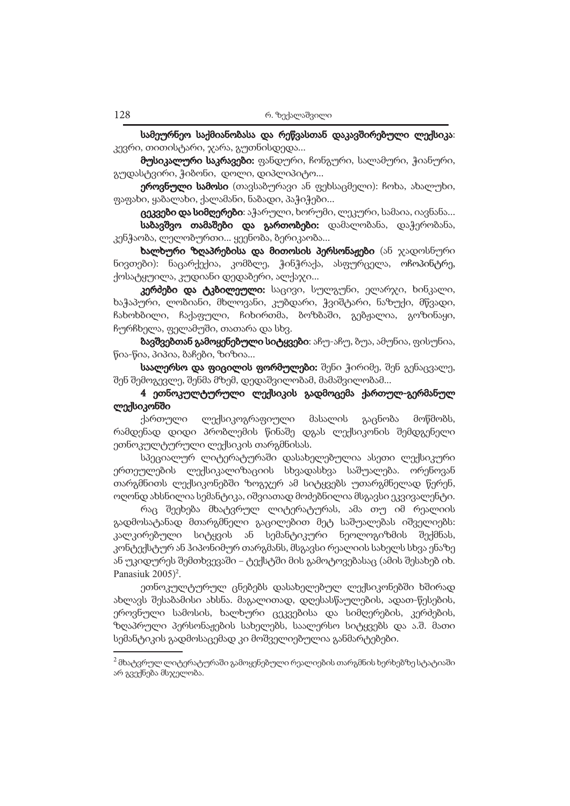სამეურნეო საქმიანობასა და რეწვასთან დაკავშირებული ლექსიკა: კევრი, თითისტარი, ჯარა, გუთნისდედა...

მუსიკალური საკრავები: ფანდური, ჩონგური, სალამური, ჭიანური, გუდასტვირი, ჭიბონი, დოლი, დიპლიპიტო...

ეროვნული სამოსი (თავსაბურავი ან ფეხსაცმელი): ჩოხა, ახალუხი, ფაფახი, ყაბალახი, ქალამანი, ნაბადი, პაჭიჭები...

ცეკვები და სიმღერები: აჭარული, ხორუმი, ლეკური, სამაია, იავნანა...

სა<mark>ბავშვო თამაშები და გართობები:</mark> დამალობანა, დაჭერობანა, კენჭაობა, ლელობურთი... ყეენობა, ბერიკაობა...

ხალხური ზღაპრებისა და მითოსის პერსონაჟები (ან ჯადოსნური ნივთები): ნაცარქექია, კომბლე, ჭინჭრაქა, ასფურცელა, ოჩოპინტრე, ქოსატყუილა, კუდიანი დედაბერი, ალქაჯი...

კერძები და ტკბილეული: საცივი, სულგუნი, ელარჯი, ხინკალი, ხაჭაპური, ლობიანი, მხლოვანი, კუბდარი, ჭვიშტარი, ნაზუქი, მწვადი, ჩახოხბილი, ჩაქაფული, ჩიხირთმა, ბოზბაში, გებჟალია, გოზინაყი, ჩურჩხელა, ფელამუში, თათარა და სხვ.

ბავშვებთან გამოყენებული სიტყვები: აჩუ-აჩუ, ბუა, ამუნია, ფისუნია, წია-წია, პიპია, ბაჩები, ზიზია...

საალერსო და ფიცილის ფორმულები: შენი ჭირიმე, შენ გენაცვალე, შენ შემოგევლე, შენმა მზემ, დედაშვილობამ, მამაშვილობამ...

# 4 ეთნოკულტურული ლექსიკის გადმოცემა ქართულ-გერმანულ ლექსიკონში

ქართული ლექსიკოგრაფიული მასალის გაცნობა მოწმობს, რამდენად დიდი პრობლემის წინაშე დგას ლექსიკონის შემდგენელი ეთნოკულტურული ლექსიკის თარგმნისას.

სპეციალურ ლიტერატურაში დასახელებულია ასეთი ლექსიკური ერთეულების ლექსიკალიზაციის სხვადასხვა საშუალება. ორენოვან თარგმნითს ლექსიკონებში ზოგჯერ ამ სიტყვებს უთარგმნელად წერენ, ოღონდ ახსნილია სემანტიკა, იშვიათად მოძებნილია მსგავსი ეკვივალენტი.

რაც შეეხება მხატვრულ ლიტერატურას, ამა თუ იმ რეალიის გადმოსატანად მთარგმნელი გაცილებით მეტ საშუალებას იშველიებს: კალკირებული სიტყვის ან სემანტიკური ნეოლოგიზმის შექმნას, კონტექსტურ ან ჰიპონიმურ თარგმანს, მსგავსი რეალიის სახელს სხვა ენაზე ან უკიდურეს შემთხვევაში − ტექსტში მის გამოტოვებასაც (ამის შესახებ იხ. Panasiuk 2005) 2 .

ეთნოკულტურულ ცნებებს დასახელებულ ლექსიკონებში ხშირად ახლავს შესაბამისი ახსნა. მაგალითად, დღესასწაულების, ადათ-წესების, ეროვნული სამოსის, ხალხური ცეკვებისა და სიმღერების, კერძების, ზღაპრული პერსონაჟების სახელებს, საალერსო სიტყვებს და ა.შ. მათი სემანტიკის გადმოსაცემად კი მოშველიებულია განმარტებები.

 $^2$  მხატვრულ ლიტერატურაში გამოყენებული რეალიების თარგმნის ხერხებზე სტატიაში არ გვექნება მსჯელობა.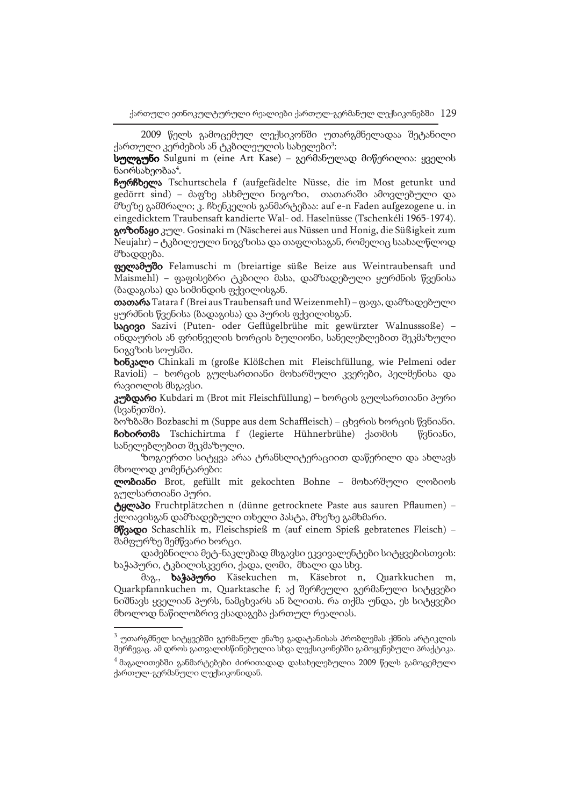2009 წელს გამოცემულ ლექსიკონში უთარგმნელადაა შეტანილი ქართული კერძების ან ტკბილეულის სახელები<sup>3</sup>:

სულგუნი Sulguni m (eine Art Kase) − გერმანულად მიწერილია: ყველის ნაირსახეობაა<sup>4</sup>.

ჩურჩხელა Tschurtschela f (aufgefädelte Nüsse, die im Most getunkt und gedörrt sind) − ძაფზე ასხმული ნიგოზი, თათარაში ამოვლებული და მზეზე გამშრალი; კ. ჩხენკელის განმარტებაა: auf e-n Faden aufgezogene u. in eingedicktem Traubensaft kandierte Wal- od. Haselnüsse (Tschenkéli 1965-1974). გოზინაყი კულ. Gosinaki m (Näscherei aus Nüssen und Honig, die Süßigkeit zum Neujahr) − ტკბილეული ნიგვზისა და თაფლისაგან, რომელიც საახალწლოდ მზადდება.

ფელამუში Felamuschi m (breiartige süße Beize aus Weintraubensaft und Maismehl) − ფაფისებრი ტკბილი მასა, დამზადებული ყურძნის წვენისა (ბადაგისა) და სიმინდის ფქვილისგან.

თათარა Tatara f (Brei aus Traubensaft und Weizenmehl) − ფაფა, დამზადებული ყურძნის წვენისა (ბადაგისა) და პურის ფქვილისგან.

საცივი Sazivi (Puten- oder Geflügelbrühe mit gewürzter Walnusssoße) − ინდაურის ან ფრინველის ხორცის ბულიონი, სანელებლებით შეკმაზული ნიგვზის სოუსში.

ხინკალი Chinkali m (große Klößchen mit Fleischfüllung, wie Pelmeni oder Ravioli) − ხორცის გულსართიანი მოხარშული კვერები, პელმენისა და რავიოლის მსგავსი.

კუბდარი Kubdari m (Brot mit Fleischfüllung) – ხორცის გულსართიანი პური (სვანეთში).

ბოზბაში Bozbaschi m (Suppe aus dem Schaffleisch) − ცხვრის ხორცის წვნიანი. ჩიხირთმა Tschichirtma f (legierte Hühnerbrühe) ქათმის წვნიანი, სანელებლებით შეკმაზული.

ზოგიერთი სიტყვა არაა ტრანსლიტერაციით დაწერილი და ახლავს მხოლოდ კომენტარები:

ლობიანი Brot, gefüllt mit gekochten Bohne – მოხარშული ლობიოს გულსართიანი პური.

ტყლაპი Fruchtplätzchen n (dünne getrocknete Paste aus sauren Pflaumen) − ქლიავისგან დამზადებული თხელი პასტა, მზეზე გამხმარი.

მწვადი Schaschlik m, Fleischspieß m (auf einem Spieß gebratenes Fleisch) − შამფურზე შემწვარი ხორცი.

დაძებნილია მეტ-ნაკლებად მსგავსი ეკვივალენტები სიტყვებისთვის: ხაჭაპური, ტკბილისკვერი, ქადა, ღომი, მხალი და სხვ.

მაგ., ხაჭაპური Käsekuchen m, Käsebrot n, Quarkkuchen m, Quarkpfannkuchen m, Quarktasche f; აქ შერჩეული გერმანული სიტყვები ნიშნავს ყველიან პურს, ნამცხვარს ან ბლითს. რა თქმა უნდა, ეს სიტყვები მხოლოდ ნაწილობრივ ესადაგება ქართულ რეალიას.

<sup>&</sup>lt;sup>3</sup> უთარგმნელ სიტყვებში გერმანულ ენაზე გადატანისას პრობლემას ქმნის არტიკლის შერჩევაც. ამ დროს გათვალისწინებულია სხვა ლექსიკონებში გამოყენებული პრაქტიკა.

 $^4$  მაგალითებში განმარტებები ძირითადად დასახელებულია 2009 წელს გამოცემული ქართულ-გერმანული ლექსიკონიდან.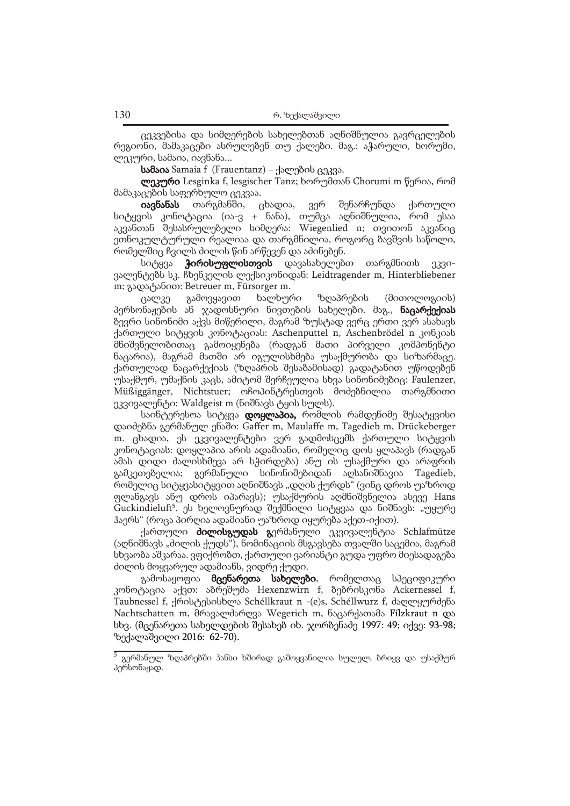ცეკვებისა და სიმღერების სახელებთან აღნიშნულია გავრცელების რეგიონი, მამაკაცები ასრულებენ თუ ქალები. მაგ.: აჭარული, ხორუმი, ლეკური, სამაია, იავნანა...

სამაია Samaia f (Frauentanz) − ქალების ცეკვა.

ლეკური Lesginka f, lesgischer Tanz; ხორუმთან Chorumi m წერია, რომ მამაკაცების საფერხულო ცეკვაა.

იავნანას თარგმანში, ცხადია, ვერ შენარჩუნდა ქართული სიტყვის კონოტაცია (ია-ვ + ნანა), თუმცა აღნიშნულია, რომ ესაა აკვანთან შესასრულებელი სიმღერა: Wiegenlied n; თვითონ აკვანიც ეთნოკულტურული რეალიაა და თარგმნილია, როგორც ბავშვის საწოლი, რომელშიც ჩვილს ძილის წინ არწევენ და აძინებენ.

სიტყვა **ჭირისუფლისთვის** დავასახელებთ თარგმნითს ეკვივალენტებს სკ. ჩხენკელის ლექსიკონიდან: Leidtragender m, Hinterbliebener m; გადატანით: Betreuer m, Fürsorger m.

ცალკე გამოვყავით ხალხური ზღაპრების (მითოლოგიის) პერსონაჟების ან ჯადოსნური ნივთების სახელები. მაგ., **ნაცარქექიას** ბევრი სინონიმი აქვს მიწერილი, მაგრამ ზუსტად ვერც ერთი ვერ ასახავს ქართული სიტყვის კონოტაციას: Aschenputtel n, Aschenbrödel n კონკიას მნიშვნელობითაც გამოიყენება (რადგან მათი პირველი კომპონენტი ნაცარია), მაგრამ მათში არ იგულისხმება უსაქმურობა და სიზარმაცე. ქართულად ნაცარქექიას (ზღაპრის შესაბამისად) გადატანით უწოდებენ უსაქმურ, უმაქნის კაცს, ამიტომ შერჩეულია სხვა სინონიმებიც: Faulenzer, Müßiggänger, Nichtstuer; ოჩოპინტრესთვის მოძებნილია თარგმნითი ეკვივალენტი: Waldgeist m (ნიშნავს ტყის სულს).

საინტერესოა სიტყვა **დოყლაპია,** რომლის რამდენიმე შესატყვისი დაიძებნა გერმანულ ენაში: Gaffer m, Maulaffe m, Tagedieb m, Drückeberger m. ცხადია, ეს ეკვივალენტები ვერ გადმოსცემს ქართული სიტყვის კონოტაციას: დოყლაპია არის ადამიანი, რომელიც დოს ყლაპავს (რადგან ამას დიდი ძალისხმევა არ სჭირდება) ანუ ის უსაქმური და არაფრის გამკეთებელია; გერმანული სინონიმებიდან აღსანიშნავია Tagedieb, რომელიც სიტყვასიტყვით აღნიშნავს "დღის ქურდს" (ვინც დროს უაზროდ ფლანგავს ანუ დროს იპარავს); უსაქმურის აღმნიშვნელია ასევე Hans Guckindieluft<sup>5</sup>. ეს ხელოვნურად შექმნილი სიტყვაა და ნიშნავს: "უყურე ჰაერს" (როცა პირღია ადამიანი უაზროდ იყურება აქეთ-იქით).

ქართული **ძილისგუდას გ**ერმანული ეკვივალენტია Schlafmütze (აღნიშნავს "ძილის ქუდს"), ნომინაციის მსგავსება თვალში საცემია, მაგრამ სხვაობა აშკარაა. ვფიქრობთ, ქართული ვარიანტი გუდა უფრო მიესადაგება ძილის მოყვარულ ადამიანს, ვიდრე ქუდი.

გამოსაყოფია მცენარეთა სახელები, რომელთაც სპეციფიკური კონოტაცია აქვთ: აბრეშუმა Hexenzwirn f, ბებრისკონა Ackernessel f, Taubnessel f, ქრისტესისხლა Schéllkraut n -(e)s, Schéllwurz f, ძაღლყურძენა Nachtschatten m, მრავალძარღვა Wegerich m, ნაცარქათამა Fílzkraut n და სხვ. (მცენარეთა სახელდების შესახებ იხ. ჯორბენაძე 1997: 49; იქვე: 93-98; ზექალაშვილი 2016: 62-70).

<sup>5</sup> გერმანულ ზღაპრებში ჰანსი ხშირად გამოყვანილია სულელ, ბრიყვ და უსაქმურ პერსონაჟად.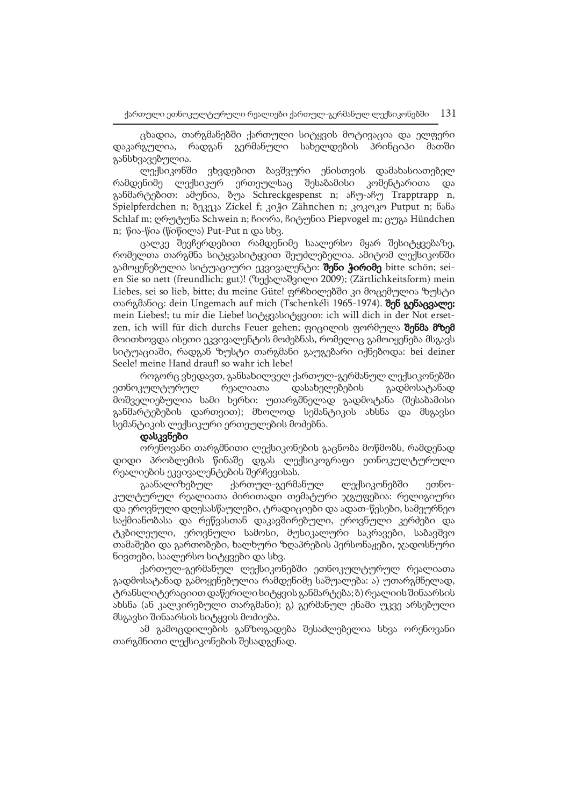ცხადია, თარგმანებში ქართული სიტყვის მოტივაცია და ელფერი დაკარგულია, რადგან გერმანული სახელდების პრინციპი მათში განსხვავებულია.

ლექსიკონში ვხვდებით ბავშვური ენისთვის დამახასიათებელ რამდენიმე ლექსიკურ ერთეულსაც შესაბამისი კომენტარითა და განმარტებით: ამუნია, ბუა Schreckgespenst n; აჩუ-აჩუ Trapptrapp n, Spielpferdchen n; ბეკეკა Zickel f; კიჭი Zähnchen n; კოკოკო Putput n; ნანა Schlaf m; ღრუტუნა Schwein n; ჩიორა, ჩიტუნია Piepvogel m; ცუგა Hündchen n; წია-წია (წიწილა) Put-Put n და სხვ.

ცალკე შევჩერდებით რამდენიმე საალერსო მყარ შესიტყვებაზე, რომელთა თარგმნა სიტყვასიტყვით შეუძლებელია. ამიტომ ლექსიკონში გამოყენებულია სიტუაციური ეკვივალენტი: შენი ჭირიმე bitte schön; seien Sie so nett (freundlich; gut)! (ზექალაშვილი 2009); (Zärtlichkeitsform) mein Liebes, sei so lieb, bitte; du meine Güte! ფრჩხილებში კი მოცემულია ზუსტი თარგმანიც: dein Ungemach auf mich (Tschenkéli 1965-1974). შენ გენაცვალე: mein Liebes!; tu mir die Liebe! სიტყვასიტყვით: ich will dich in der Not ersetzen, ich will für dich durchs Feuer gehen; ფიცილის ფორმულა შენმა მზემ მოითხოვდა ისეთი ეკვივალენტის მოძებნას, რომელიც გამოიყენება მსგავს სიტუაციაში, რადგან ზუსტი თარგმანი გაუგებარი იქნებოდა: bei deiner Seele! meine Hand drauf! so wahr ich lebe!

როგორც ვხედავთ, განსახილველ ქართულ-გერმანულ ლექსიკონებში ეთნოკულტურულ რეალიათა დასახელებების გადმოსატანად მოშველიებულია სამი ხერხი: უთარგმნელად გადმოტანა (შესაბამისი განმარტებების დართვით); მხოლოდ სემანტიკის ახსნა და მსგავსი სემანტიკის ლექსიკური ერთეულების მოძებნა.

### დასკვნები

ორენოვანი თარგმნითი ლექსიკონების გაცნობა მოწმობს, რამდენად დიდი პრობლემის წინაშე დგას ლექსიკოგრაფი ეთნოკულტურული რეალიების ეკვივალენტების შერჩევისას.

გაანალიზებულ ქართულ-გერმანულ ლექსიკონებში ეთნოკულტურულ რეალიათა ძირითადი თემატური ჯგუფებია: რელიგიური და ეროვნული დღესასწაულები, ტრადიციები და ადათ-წესები, სამეურნეო საქმიანობასა და რეწვასთან დაკავშირებული, ეროვნული კერძები და ტკბილეული, ეროვნული სამოსი, მუსიკალური საკრავები, საბავშვო თამაშები და გართობები, ხალხური ზღაპრების პერსონაჟები, ჯადოსნური ნივთები, საალერსო სიტყვები და სხვ.

ქართულ-გერმანულ ლექსიკონებში ეთნოკულტურულ რეალიათა გადმოსატანად გამოყენებულია რამდენიმე საშუალება: ა) უთარგმნელად, ტრანსლიტერაციით დაწერილი სიტყვის განმარტება; ბ) რეალიის შინაარსის ახსნა (ან კალკირებული თარგმანი); გ) გერმანულ ენაში უკვე არსებული მსგავსი შინაარსის სიტყვის მოძიება.

ამ გამოცდილების განზოგადება შესაძლებელია სხვა ორენოვანი თარგმნითი ლექსიკონების შესადგენად.